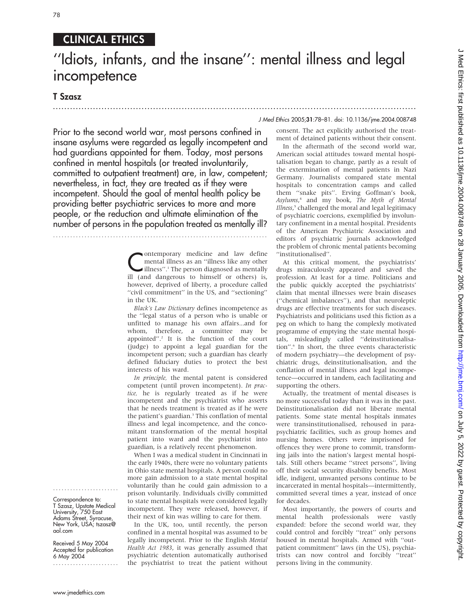## 78

# CLINICAL ETHICS

# ''Idiots, infants, and the insane'': mental illness and legal incompetence

...............................................................................................................................

### T Szasz

#### J Med Ethics 2005;31:78–81. doi: 10.1136/jme.2004.008748

Prior to the second world war, most persons confined in insane asylums were regarded as legally incompetent and had guardians appointed for them. Today, most persons confined in mental hospitals (or treated involuntarily, committed to outpatient treatment) are, in law, competent; nevertheless, in fact, they are treated as if they were incompetent. Should the goal of mental health policy be providing better psychiatric services to more and more people, or the reduction and ultimate elimination of the number of persons in the population treated as mentally ill?

...........................................................................

**Contemporary medicine and law define**<br>
mental illness as an "illness like any other<br>
illness".<sup>1</sup> The person diagnosed as mentally<br>
ill (and dangarays to bimed<sup>6</sup> or others) is mental illness as an ''illness like any other ill (and dangerous to himself or others) is, however, deprived of liberty, a procedure called "civil commitment" in the US, and "sectioning" in the UK.

Black's Law Dictionary defines incompetence as the ''legal status of a person who is unable or unfitted to manage his own affairs...and for whom, therefore, a committee may be appointed".<sup>2</sup> It is the function of the court (judge) to appoint a legal guardian for the incompetent person; such a guardian has clearly defined fiduciary duties to protect the best interests of his ward.

In principle, the mental patent is considered competent (until proven incompetent). In practice, he is regularly treated as if he were incompetent and the psychiatrist who asserts that he needs treatment is treated as if he were the patient's guardian.<sup>3</sup> This conflation of mental illness and legal incompetence, and the concomitant transformation of the mental hospital patient into ward and the psychiatrist into guardian, is a relatively recent phenomenon.

When I was a medical student in Cincinnati in the early 1940s, there were no voluntary patients in Ohio state mental hospitals. A person could no more gain admission to a state mental hospital voluntarily than he could gain admission to a prison voluntarily. Individuals civilly committed to state mental hospitals were considered legally incompetent. They were released, however, if their next of kin was willing to care for them.

In the UK, too, until recently, the person confined in a mental hospital was assumed to be legally incompetent. Prior to the English Mental Health Act 1983, it was generally assumed that psychiatric detention automatically authorised the psychiatrist to treat the patient without consent. The act explicitly authorised the treatment of detained patients without their consent.

In the aftermath of the second world war, American social attitudes toward mental hospitalisation began to change, partly as a result of the extermination of mental patients in Nazi Germany. Journalists compared state mental hospitals to concentration camps and called them ''snake pits''. Erving Goffman's book, Asylums, <sup>4</sup> and my book, The Myth of Mental Illness,<sup>5</sup> challenged the moral and legal legitimacy of psychiatric coercions, exemplified by involuntary confinement in a mental hospital. Presidents of the American Psychiatric Association and editors of psychiatric journals acknowledged the problem of chronic mental patients becoming ''institutionalised''.

At this critical moment, the psychiatrists' drugs miraculously appeared and saved the profession. At least for a time. Politicians and the public quickly accepted the psychiatrists' claim that mental illnesses were brain diseases (''chemical imbalances''), and that neuroleptic drugs are effective treatments for such diseases. Psychiatrists and politicians used this fiction as a peg on which to hang the complexly motivated programme of emptying the state mental hospitals, misleadingly called ''deinstitutionalisation''.6 In short, the three events characteristic of modern psychiatry—the development of psychiatric drugs, deinstitutionalisation, and the conflation of mental illness and legal incompetence—occurred in tandem, each facilitating and supporting the others.

Actually, the treatment of mental diseases is no more successful today than it was in the past. Deinstitutionalisation did not liberate mental patients. Some state mental hospitals inmates were transinstitutionalised, rehoused in parapsychiatric facilities, such as group homes and nursing homes. Others were imprisoned for offences they were prone to commit, transforming jails into the nation's largest mental hospitals. Still others became ''street persons'', living off their social security disability benefits. Most idle, indigent, unwanted persons continue to be incarcerated in mental hospitals—intermittently, committed several times a year, instead of once for decades.

Most importantly, the powers of courts and mental health professionals were vastly expanded: before the second world war, they could control and forcibly ''treat'' only persons housed in mental hospitals. Armed with ''outpatient commitment'' laws (in the US), psychiatrists can now control and forcibly ''treat'' persons living in the community.

Correspondence to: T Szasz, Upstate Medical University, 750 East Adams Street, Syracuse, New York, USA; tszasz@ aol.com

Received 5 May 2004 Accepted for publication 6 May 2004 .......................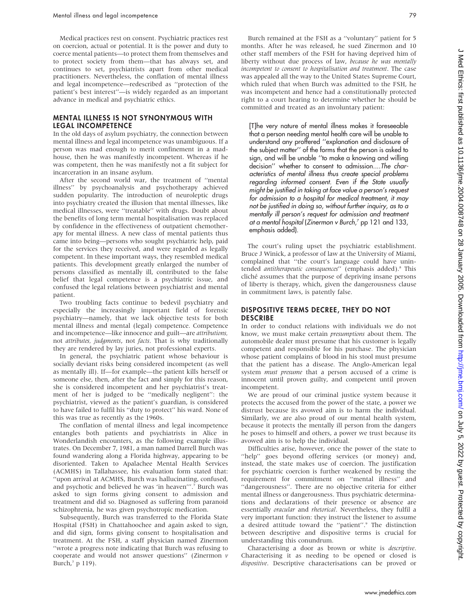Medical practices rest on consent. Psychiatric practices rest on coercion, actual or potential. It is the power and duty to coerce mental patients—to protect them from themselves and to protect society from them—that has always set, and continues to set, psychiatrists apart from other medical practitioners. Nevertheless, the conflation of mental illness and legal incompetence—redescribed as ''protection of the patient's best interest''—is widely regarded as an important advance in medical and psychiatric ethics.

#### MENTAL ILLNESS IS NOT SYNONYMOUS WITH LEGAL INCOMPETENCE

In the old days of asylum psychiatry, the connection between mental illness and legal incompetence was unambiguous. If a person was mad enough to merit confinement in a madhouse, then he was manifestly incompetent. Whereas if he was competent, then he was manifestly not a fit subject for incarceration in an insane asylum.

After the second world war, the treatment of ''mental illness'' by psychoanalysis and psychotherapy achieved sudden popularity. The introduction of neuroleptic drugs into psychiatry created the illusion that mental illnesses, like medical illnesses, were ''treatable'' with drugs. Doubt about the benefits of long term mental hospitalisation was replaced by confidence in the effectiveness of outpatient chemotherapy for mental illness. A new class of mental patients thus came into being—persons who sought psychiatric help, paid for the services they received, and were regarded as legally competent. In these important ways, they resembled medical patients. This development greatly enlarged the number of persons classified as mentally ill, contributed to the false belief that legal competence is a psychiatric issue, and confused the legal relations between psychiatrist and mental patient.

Two troubling facts continue to bedevil psychiatry and especially the increasingly important field of forensic psychiatry—namely, that we lack objective tests for both mental illness and mental (legal) competence. Competence and incompetence—like innocence and guilt—are attributions, not attributes, judgments, not facts. That is why traditionally they are rendered by lay juries, not professional experts.

In general, the psychiatric patient whose behaviour is socially deviant risks being considered incompetent (as well as mentally ill). If—for example—the patient kills herself or someone else, then, after the fact and simply for this reason, she is considered incompetent and her psychiatrist's treatment of her is judged to be ''medically negligent'': the psychiatrist, viewed as the patient's guardian, is considered to have failed to fulfil his ''duty to protect'' his ward. None of this was true as recently as the 1960s.

The conflation of mental illness and legal incompetence entangles both patients and psychiatrists in Alice in Wonderlandish encounters, as the following example illustrates. On December 7, 1981, a man named Darrell Burch was found wandering along a Florida highway, appearing to be disoriented. Taken to Apalachee Mental Health Services (ACMHS) in Tallahassee, his evaluation form stated that: ''upon arrival at ACMHS, Burch was hallucinating, confused, and psychotic and believed he was 'in heaven'''.7 Burch was asked to sign forms giving consent to admission and treatment and did so. Diagnosed as suffering from paranoid schizophrenia, he was given psychotropic medication.

Subsequently, Burch was transferred to the Florida State Hospital (FSH) in Chattahoochee and again asked to sign, and did sign, forms giving consent to hospitalisation and treatment. At the FSH, a staff physician named Zinermon ''wrote a progress note indicating that Burch was refusing to cooperate and would not answer questions'' (Zinermon v Burch, $7$  p 119).

Burch remained at the FSH as a ''voluntary'' patient for 5 months. After he was released, he sued Zinermon and 10 other staff members of the FSH for having deprived him of liberty without due process of law, because he was mentally incompetent to consent to hospitalisation and treatment. The case was appealed all the way to the United States Supreme Court, which ruled that when Burch was admitted to the FSH, he was incompetent and hence had a constitutionally protected right to a court hearing to determine whether he should be committed and treated as an involuntary patient:

[T]he very nature of mental illness makes it foreseeable that a person needing mental health care will be unable to understand any proffered ''explanation and disclosure of the subject matter'' of the forms that the person is asked to sign, and will be unable ''to make a knowing and willing decision'' whether to consent to admission....The characteristics of mental illness thus create special problems regarding informed consent. Even if the State usually might be justified in taking at face value a person's request for admission to a hospital for medical treatment, it may not be justified in doing so, without further inquiry, as to a mentally ill person's request for admission and treatment at a mental hospital (Zinermon v Burch, <sup>7</sup> pp 121 and 133, emphasis added).

The court's ruling upset the psychiatric establishment. Bruce J Winick, a professor of law at the University of Miami, complained that ''the court's language could have unintended antitherapeutic consequences" (emphasis added).<sup>8</sup> This cliche´ assumes that the purpose of depriving insane persons of liberty is therapy, which, given the dangerousness clause in commitment laws, is patently false.

#### DISPOSITIVE TERMS DECREE, THEY DO NOT DESCRIBE

In order to conduct relations with individuals we do not know, we must make certain presumptions about them. The automobile dealer must presume that his customer is legally competent and responsible for his purchase. The physician whose patient complains of blood in his stool must presume that the patient has a disease. The Anglo-American legal system must presume that a person accused of a crime is innocent until proven guilty, and competent until proven incompetent.

We are proud of our criminal justice system because it protects the accused from the power of the state, a power we distrust because its avowed aim is to harm the individual. Similarly, we are also proud of our mental health system, because it protects the mentally ill person from the dangers he poses to himself and others, a power we trust because its avowed aim is to help the individual.

Difficulties arise, however, once the power of the state to "help" goes beyond offering services (or money) and, instead, the state makes use of coercion. The justification for psychiatric coercion is further weakened by resting the requirement for commitment on ''mental illness'' and "dangerousness". There are no objective criteria for either mental illness or dangerousness. Thus psychiatric determinations and declarations of their presence or absence are essentially oracular and rhetorical. Nevertheless, they fulfil a very important function: they instruct the listener to assume a desired attitude toward the "patient".<sup>9</sup> The distinction between descriptive and dispositive terms is crucial for understanding this conundrum.

Characterising a door as brown or white is descriptive. Characterising it as needing to be opened or closed is dispositive. Descriptive characterisations can be proved or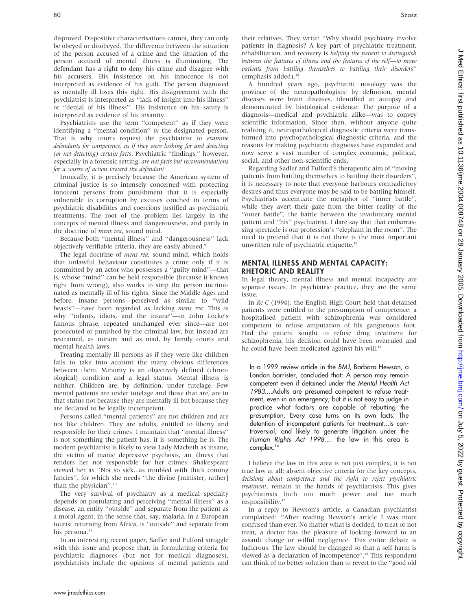disproved. Dispositive characterisations cannot, they can only be obeyed or disobeyed. The difference between the situation of the person accused of a crime and the situation of the person accused of mental illness is illuminating. The defendant has a right to deny his crime and disagree with his accusers. His insistence on his innocence is not interpreted as evidence of his guilt. The person diagnosed as mentally ill loses this right. His disagreement with the psychiatrist is interpreted as ''lack of insight into his illness'' or ''denial of his illness''. His insistence on his sanity is interpreted as evidence of his insanity.

Psychiatrists use the term ''competent'' as if they were identifying a "mental condition" in the designated person. That is why courts request the psychiatrist to examine defendants for competence, as if they were looking for and detecting (or not detecting) certain facts. Psychiatric ''findings,'' however, especially in a forensic setting, are not facts but recommendations for a course of action toward the defendant.

Ironically, it is precisely because the American system of criminal justice is so intensely concerned with protecting innocent persons from punishment that it is especially vulnerable to corruption by excuses couched in terms of psychiatric disabilities and coercions justified as psychiatric treatments. The root of the problem lies largely in the concepts of mental illness and dangerousness, and partly in the doctrine of mens rea, sound mind.

Because both ''mental illness'' and ''dangerousness'' lack objectively verifiable criteria, they are easily abused.<sup>9</sup>

The legal doctrine of *mens rea*, sound mind, which holds that unlawful behaviour constitutes a crime only if it is committed by an actor who possesses a ''guilty mind''—that is, whose ''mind'' can be held responsible (because it knows right from wrong), also works to strip the person incriminated as mentally ill of his rights. Since the Middle Ages and before, insane persons—perceived as similar to ''wild beasts''—have been regarded as lacking mens rea. This is why ''infants, idiots, and the insane''—in John Locke's famous phrase, repeated unchanged ever since—are not prosecuted or punished by the criminal law, but instead are restrained, as minors and as mad, by family courts and mental health laws.

Treating mentally ill persons as if they were like children fails to take into account the many obvious differences between them. Minority is an objectively defined (chronological) condition and a legal status. Mental illness is neither. Children are, by definition, under tutelage. Few mental patients are under tutelage and those that are, are in that status not because they are mentally ill but because they are declared to be legally incompetent.

Persons called ''mental patients'' are not children and are not like children. They are adults, entitled to liberty and responsible for their crimes. I maintain that ''mental illness'' is not something the patient has, it is something he is. The modern psychiatrist is likely to view Lady Macbeth as insane, the victim of manic depressive psychosis, an illness that renders her not responsible for her crimes. Shakespeare viewed her as ''Not so sick...as troubled with thick coming fancies", for which she needs "the divine [minister, rather] than the physician''.10

The very survival of psychiatry as a medical specialty depends on postulating and perceiving ''mental illness'' as a disease, an entity ''outside'' and separate from the patient as a moral agent, in the sense that, say, malaria, in a European tourist returning from Africa, is ''outside'' and separate from his persona.<sup>11</sup>

In an interesting recent paper, Sadler and Fulford struggle with this issue and propose that, in formulating criteria for psychiatric diagnoses (but not for medical diagnoses), psychiatrists include the opinions of mental patients and

their relatives. They write: ''Why should psychiatry involve patients in diagnosis? A key part of psychiatric treatment, rehabilitation, and recovery is helping the patient to distinguish between the features of illness and the features of the self—to move patients from battling themselves to battling their disorders'' (emphasis added).<sup>12</sup>

A hundred years ago, psychiatric nosology was the province of the neuropathologists: by definition, mental diseases were brain diseases, identified at autopsy and demonstrated by histological evidence. The purpose of a diagnosis—medical and psychiatric alike—was to convey scientific information. Since then, without anyone quite realising it, neuropathological diagnostic criteria were transformed into psychopathological diagnostic criteria, and the reasons for making psychiatric diagnoses have expanded and now serve a vast number of complex economic, political, social, and other non-scientific ends.

Regarding Sadler and Fulford's therapeutic aim of ''moving patients from battling themselves to battling their disorders'', it is necessary to note that everyone harbours contradictory desires and thus everyone may be said to be battling himself. Psychiatrists accentuate the metaphor of ''inner battle'', while they avert their gaze from the bitter reality of the "outer battle", the battle between the involuntary mental patient and ''his'' psychiatrist. I dare say that that embarrassing spectacle is our profession's ''elephant in the room''. The need to pretend that it is not there is the most important unwritten rule of psychiatric etiquette.<sup>13</sup>

#### MENTAL ILLNESS AND MENTAL CAPACITY: RHETORIC AND REALITY

In legal theory, mental illness and mental incapacity are separate issues. In psychiatric practice, they are the same issue.

In Re C (1994), the English High Court held that detained patients were entitled to the presumption of competence: a hospitalised patient with schizophrenia was considered competent to refuse amputation of his gangrenous foot. Had the patient sought to refuse drug treatment for schizophrenia, his decision could have been overruled and he could have been medicated against his will.<sup>13</sup>

In a 1999 review article in the BMJ, Barbara Hewson, a London barrister, concluded that: A person may remain competent even if detained under the Mental Health Act 1983....Adults are presumed competent to refuse treatment, even in an emergency; but it is not easy to judge in practice what factors are capable of rebutting the presumption. Every case turns on its own facts. The detention of incompetent patients for treatment...is controversial, and likely to generate litigation under the Human Rights Act 1998.... the law in this area is complex.14

I believe the law in this area is not just complex, it is not true law at all: absent objective criteria for the key concepts, decisions about competence and the right to reject psychiatric treatment, remain in the hands of psychiatrists. This gives psychiatrists both too much power and too much responsibility.15

In a reply to Hewson's article, a Canadian psychiatrist complained: ''After reading Hewson's article I was more confused than ever. No matter what is decided, to treat or not treat, a doctor has the pleasure of looking forward to an assault charge or wilful negligence. This entire debate is ludicrous. The law should be changed so that a self harm is viewed as a declaration of incompetence''.16 This respondent can think of no better solution than to revert to the ''good old